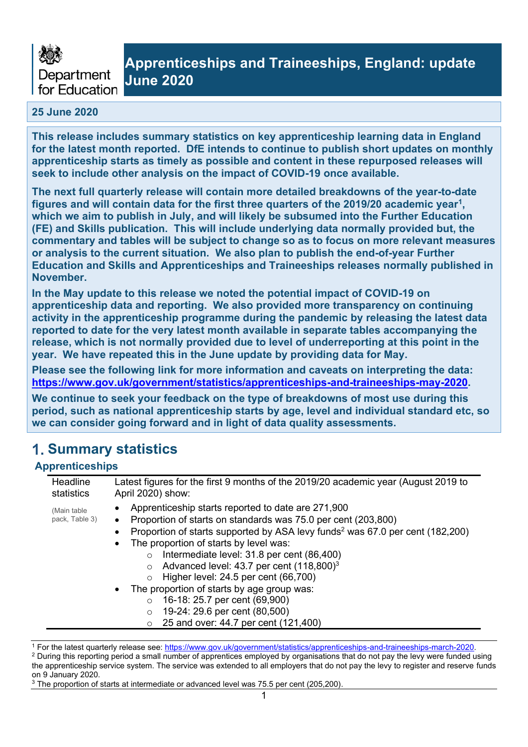

## **Apprenticeships and Traineeships, England: update June 2020**

### **25 June 2020**

**This release includes summary statistics on key apprenticeship learning data in England for the latest month reported. DfE intends to continue to publish short updates on monthly apprenticeship starts as timely as possible and content in these repurposed releases will seek to include other analysis on the impact of COVID-19 once available.** 

**The next full quarterly release will contain more detailed breakdowns of the year-to-date figures and will contain data for the first three quarters of the 2019/20 academic year<sup>1</sup> , which we aim to publish in July, and will likely be subsumed into the Further Education (FE) and Skills publication. This will include underlying data normally provided but, the commentary and tables will be subject to change so as to focus on more relevant measures or analysis to the current situation. We also plan to publish the end-of-year Further Education and Skills and Apprenticeships and Traineeships releases normally published in November.**

**In the May update to this release we noted the potential impact of COVID-19 on apprenticeship data and reporting. We also provided more transparency on continuing activity in the apprenticeship programme during the pandemic by releasing the latest data reported to date for the very latest month available in separate tables accompanying the release, which is not normally provided due to level of underreporting at this point in the year. We have repeated this in the June update by providing data for May.** 

**Please see the following link for more information and caveats on interpreting the data: [https://www.gov.uk/government/statistics/apprenticeships-and-traineeships-may-2020.](https://www.gov.uk/government/statistics/apprenticeships-and-traineeships-may-2020)**

**We continue to seek your feedback on the type of breakdowns of most use during this period, such as national apprenticeship starts by age, level and individual standard etc, so we can consider going forward and in light of data quality assessments.**

## **Summary statistics**

### **Apprenticeships**

| Headline                       | Latest figures for the first 9 months of the 2019/20 academic year (August 2019 to                                                                                                                                                                                                                                                                                                                                                                                                                                                                                                                                                                |
|--------------------------------|---------------------------------------------------------------------------------------------------------------------------------------------------------------------------------------------------------------------------------------------------------------------------------------------------------------------------------------------------------------------------------------------------------------------------------------------------------------------------------------------------------------------------------------------------------------------------------------------------------------------------------------------------|
| statistics                     | April 2020) show:                                                                                                                                                                                                                                                                                                                                                                                                                                                                                                                                                                                                                                 |
| (Main table)<br>pack, Table 3) | Apprenticeship starts reported to date are 271,900<br>Proportion of starts on standards was 75.0 per cent (203,800)<br>Proportion of starts supported by ASA levy funds <sup>2</sup> was 67.0 per cent (182,200)<br>The proportion of starts by level was:<br>Intermediate level: 31.8 per cent (86,400)<br>$\circ$<br>Advanced level: 43.7 per cent (118,800) <sup>3</sup><br>$\circ$<br>Higher level: 24.5 per cent (66,700)<br>$\Omega$<br>The proportion of starts by age group was:<br>$\bullet$<br>16-18: 25.7 per cent (69,900)<br>$\Omega$<br>19-24: 29.6 per cent (80,500)<br>$\circ$<br>25 and over: 44.7 per cent (121,400)<br>$\circ$ |

<sup>1</sup> For the latest quarterly release see: [https://www.gov.uk/government/statistics/apprenticeships-and-traineeships-march-2020.](https://www.gov.uk/government/statistics/apprenticeships-and-traineeships-march-2020)

<sup>2</sup> During this reporting period a small number of apprentices employed by organisations that do not pay the levy were funded using the apprenticeship service system. The service was extended to all employers that do not pay the levy to register and reserve funds on 9 January 2020.

<sup>&</sup>lt;sup>3</sup> The proportion of starts at intermediate or advanced level was 75.5 per cent (205,200).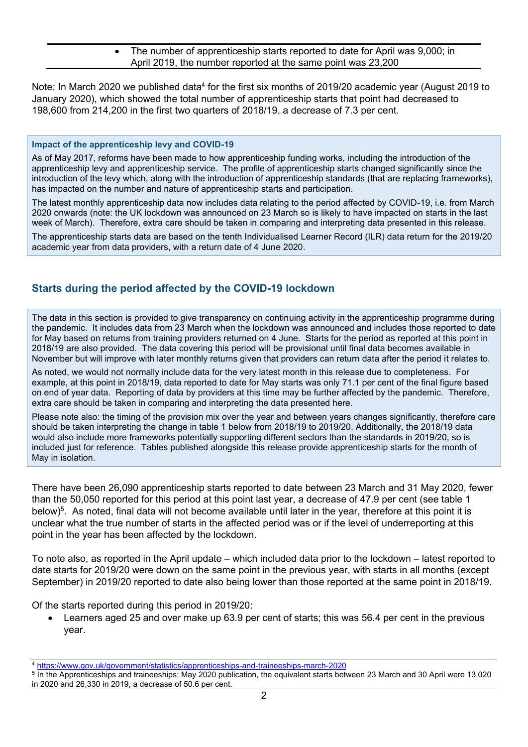• The number of apprenticeship starts reported to date for April was 9,000; in April 2019, the number reported at the same point was 23,200

Note: In March 2020 we published data<sup>4</sup> for the first six months of 2019/20 academic year (August 2019 to January 2020), which showed the total number of apprenticeship starts that point had decreased to 198,600 from 214,200 in the first two quarters of 2018/19, a decrease of 7.3 per cent.

### **Impact of the apprenticeship levy and COVID-19**

As of May 2017, reforms have been made to how apprenticeship funding works, including the introduction of the apprenticeship levy and apprenticeship service. The profile of apprenticeship starts changed significantly since the introduction of the levy which, along with the introduction of apprenticeship standards (that are replacing frameworks), has impacted on the number and nature of apprenticeship starts and participation.

The latest monthly apprenticeship data now includes data relating to the period affected by COVID-19, i.e. from March 2020 onwards (note: the UK lockdown was announced on 23 March so is likely to have impacted on starts in the last week of March). Therefore, extra care should be taken in comparing and interpreting data presented in this release.

The apprenticeship starts data are based on the tenth Individualised Learner Record (ILR) data return for the 2019/20 academic year from data providers, with a return date of 4 June 2020.

### **Starts during the period affected by the COVID-19 lockdown**

The data in this section is provided to give transparency on continuing activity in the apprenticeship programme during the pandemic. It includes data from 23 March when the lockdown was announced and includes those reported to date for May based on returns from training providers returned on 4 June. Starts for the period as reported at this point in 2018/19 are also provided. The data covering this period will be provisional until final data becomes available in November but will improve with later monthly returns given that providers can return data after the period it relates to.

As noted, we would not normally include data for the very latest month in this release due to completeness. For example, at this point in 2018/19, data reported to date for May starts was only 71.1 per cent of the final figure based on end of year data. Reporting of data by providers at this time may be further affected by the pandemic. Therefore, extra care should be taken in comparing and interpreting the data presented here.

Please note also: the timing of the provision mix over the year and between years changes significantly, therefore care should be taken interpreting the change in table 1 below from 2018/19 to 2019/20. Additionally, the 2018/19 data would also include more frameworks potentially supporting different sectors than the standards in 2019/20, so is included just for reference. Tables published alongside this release provide apprenticeship starts for the month of May in isolation.

There have been 26,090 apprenticeship starts reported to date between 23 March and 31 May 2020, fewer than the 50,050 reported for this period at this point last year, a decrease of 47.9 per cent (see table 1 below)<sup>5</sup>. As noted, final data will not become available until later in the year, therefore at this point it is unclear what the true number of starts in the affected period was or if the level of underreporting at this point in the year has been affected by the lockdown.

To note also, as reported in the April update – which included data prior to the lockdown – latest reported to date starts for 2019/20 were down on the same point in the previous year, with starts in all months (except September) in 2019/20 reported to date also being lower than those reported at the same point in 2018/19.

Of the starts reported during this period in 2019/20:

• Learners aged 25 and over make up 63.9 per cent of starts; this was 56.4 per cent in the previous year.

<sup>4</sup> <https://www.gov.uk/government/statistics/apprenticeships-and-traineeships-march-2020>

<sup>5</sup> In the Apprenticeships and traineeships: May 2020 publication, the equivalent starts between 23 March and 30 April were 13,020 in 2020 and 26,330 in 2019, a decrease of 50.6 per cent.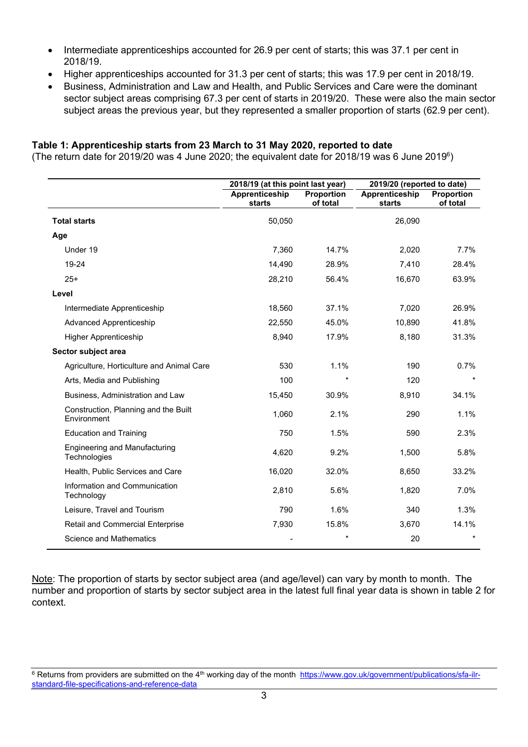- Intermediate apprenticeships accounted for 26.9 per cent of starts; this was 37.1 per cent in 2018/19.
- Higher apprenticeships accounted for 31.3 per cent of starts; this was 17.9 per cent in 2018/19.
- Business, Administration and Law and Health, and Public Services and Care were the dominant sector subject areas comprising 67.3 per cent of starts in 2019/20. These were also the main sector subject areas the previous year, but they represented a smaller proportion of starts (62.9 per cent).

## **Table 1: Apprenticeship starts from 23 March to 31 May 2020, reported to date**

(The return date for 2019/20 was 4 June 2020; the equivalent date for 2018/19 was 6 June 2019 $^{\circ}$ )

|                                                      | 2018/19 (at this point last year) |                               | 2019/20 (reported to date) |                               |  |
|------------------------------------------------------|-----------------------------------|-------------------------------|----------------------------|-------------------------------|--|
|                                                      | Apprenticeship<br>starts          | <b>Proportion</b><br>of total | Apprenticeship<br>starts   | <b>Proportion</b><br>of total |  |
| <b>Total starts</b>                                  | 50,050                            |                               | 26,090                     |                               |  |
| Age                                                  |                                   |                               |                            |                               |  |
| Under 19                                             | 7,360                             | 14.7%                         | 2,020                      | $7.7\%$                       |  |
| 19-24                                                | 14,490                            | 28.9%                         | 7,410                      | 28.4%                         |  |
| $25+$                                                | 28,210                            | 56.4%                         | 16,670                     | 63.9%                         |  |
| Level                                                |                                   |                               |                            |                               |  |
| Intermediate Apprenticeship                          | 18,560                            | 37.1%                         | 7,020                      | 26.9%                         |  |
| <b>Advanced Apprenticeship</b>                       | 22,550                            | 45.0%                         | 10,890                     | 41.8%                         |  |
| <b>Higher Apprenticeship</b>                         | 8,940                             | 17.9%                         | 8,180                      | 31.3%                         |  |
| Sector subject area                                  |                                   |                               |                            |                               |  |
| Agriculture, Horticulture and Animal Care            | 530                               | 1.1%                          | 190                        | 0.7%                          |  |
| Arts, Media and Publishing                           | 100                               | $\star$                       | 120                        | $\star$                       |  |
| Business, Administration and Law                     | 15,450                            | 30.9%                         | 8,910                      | 34.1%                         |  |
| Construction, Planning and the Built<br>Environment  | 1,060                             | 2.1%                          | 290                        | 1.1%                          |  |
| <b>Education and Training</b>                        | 750                               | 1.5%                          | 590                        | 2.3%                          |  |
| <b>Engineering and Manufacturing</b><br>Technologies | 4,620                             | 9.2%                          | 1,500                      | 5.8%                          |  |
| Health, Public Services and Care                     | 16,020                            | 32.0%                         | 8,650                      | 33.2%                         |  |
| Information and Communication<br>Technology          | 2,810                             | 5.6%                          | 1,820                      | 7.0%                          |  |
| Leisure, Travel and Tourism                          | 790                               | 1.6%                          | 340                        | 1.3%                          |  |
| Retail and Commercial Enterprise                     | 7,930                             | 15.8%                         | 3,670                      | 14.1%                         |  |
| <b>Science and Mathematics</b>                       |                                   | $^\star$                      | 20                         | $^\ast$                       |  |

Note: The proportion of starts by sector subject area (and age/level) can vary by month to month. The number and proportion of starts by sector subject area in the latest full final year data is shown in table 2 for context.

<sup>&</sup>lt;sup>6</sup> Returns from providers are submitted on the 4<sup>th</sup> working day of the month [https://www.gov.uk/government/publications/sfa-ilr](https://www.gov.uk/government/publications/sfa-ilr-standard-file-specifications-and-reference-data)[standard-file-specifications-and-reference-data](https://www.gov.uk/government/publications/sfa-ilr-standard-file-specifications-and-reference-data)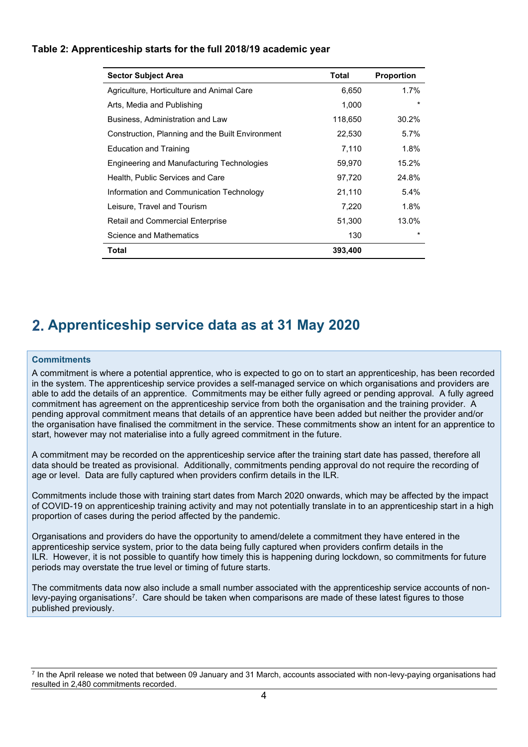| Table 2: Apprenticeship starts for the full 2018/19 academic year |  |
|-------------------------------------------------------------------|--|
|-------------------------------------------------------------------|--|

| <b>Sector Subject Area</b>                       | <b>Total</b> | <b>Proportion</b> |
|--------------------------------------------------|--------------|-------------------|
| Agriculture, Horticulture and Animal Care        | 6,650        | $1.7\%$           |
| Arts, Media and Publishing                       | 1,000        | $\star$           |
| Business, Administration and Law                 | 118,650      | 30.2%             |
| Construction, Planning and the Built Environment | 22,530       | 5.7%              |
| Education and Training                           | 7,110        | 1.8%              |
| Engineering and Manufacturing Technologies       | 59,970       | 15.2%             |
| Health, Public Services and Care                 | 97,720       | 24.8%             |
| Information and Communication Technology         | 21,110       | $5.4\%$           |
| Leisure, Travel and Tourism                      | 7,220        | 1.8%              |
| <b>Retail and Commercial Enterprise</b>          | 51,300       | 13.0%             |
| Science and Mathematics                          | 130          | $\star$           |
| Total                                            | 393,400      |                   |

## **Apprenticeship service data as at 31 May 2020**

### **Commitments**

A commitment is where a potential apprentice, who is expected to go on to start an apprenticeship, has been recorded in the system. The apprenticeship service provides a self-managed service on which organisations and providers are able to add the details of an apprentice. Commitments may be either fully agreed or pending approval. A fully agreed commitment has agreement on the apprenticeship service from both the organisation and the training provider. A pending approval commitment means that details of an apprentice have been added but neither the provider and/or the organisation have finalised the commitment in the service. These commitments show an intent for an apprentice to start, however may not materialise into a fully agreed commitment in the future.

A commitment may be recorded on the apprenticeship service after the training start date has passed, therefore all data should be treated as provisional. Additionally, commitments pending approval do not require the recording of age or level. Data are fully captured when providers confirm details in the ILR.

Commitments include those with training start dates from March 2020 onwards, which may be affected by the impact of COVID-19 on apprenticeship training activity and may not potentially translate in to an apprenticeship start in a high proportion of cases during the period affected by the pandemic.

Organisations and providers do have the opportunity to amend/delete a commitment they have entered in the apprenticeship service system, prior to the data being fully captured when providers confirm details in the ILR. However, it is not possible to quantify how timely this is happening during lockdown, so commitments for future periods may overstate the true level or timing of future starts.

The commitments data now also include a small number associated with the apprenticeship service accounts of nonlevy-paying organisations<sup>7</sup>. Care should be taken when comparisons are made of these latest figures to those published previously.

7 In the April release we noted that between 09 January and 31 March, accounts associated with non-levy-paying organisations had resulted in 2,480 commitments recorded.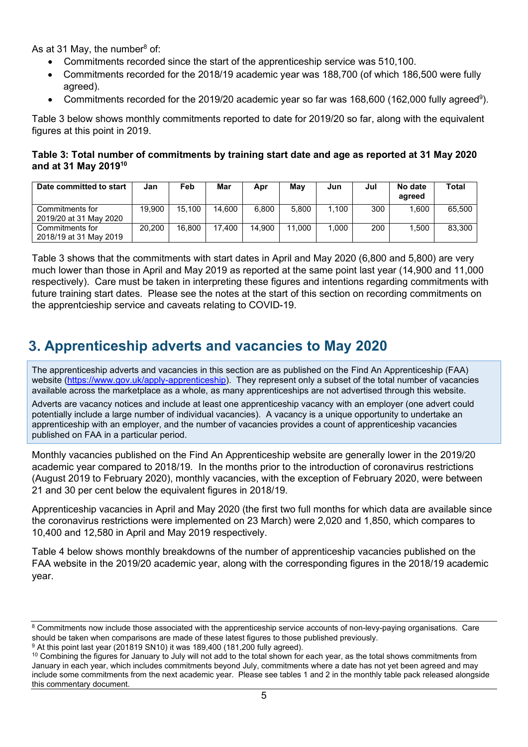As at 31 May, the number<sup>8</sup> of:

- Commitments recorded since the start of the apprenticeship service was 510,100.
- Commitments recorded for the 2018/19 academic year was 188,700 (of which 186,500 were fully agreed).
- Commitments recorded for the 2019/20 academic year so far was 168,600 (162,000 fully agreed<sup>9</sup>).

Table 3 below shows monthly commitments reported to date for 2019/20 so far, along with the equivalent figures at this point in 2019.

**Table 3: Total number of commitments by training start date and age as reported at 31 May 2020 and at 31 May 2019<sup>10</sup>**

| Date committed to start                   | Jan    | Feb    | Mar    | Apr    | Mav        | Jun   | Jul | No date<br>agreed | Total  |
|-------------------------------------------|--------|--------|--------|--------|------------|-------|-----|-------------------|--------|
| Commitments for<br>2019/20 at 31 May 2020 | 19.900 | 15.100 | 14.600 | 6.800  | 5.800      | .100  | 300 | .600              | 65.500 |
| Commitments for<br>2018/19 at 31 May 2019 | 20,200 | 16.800 | 17.400 | 14.900 | .000<br>11 | 0.000 | 200 | .500              | 83,300 |

Table 3 shows that the commitments with start dates in April and May 2020 (6,800 and 5,800) are very much lower than those in April and May 2019 as reported at the same point last year (14,900 and 11,000 respectively). Care must be taken in interpreting these figures and intentions regarding commitments with future training start dates. Please see the notes at the start of this section on recording commitments on the apprentcieship service and caveats relating to COVID-19.

## **Apprenticeship adverts and vacancies to May 2020**

The apprenticeship adverts and vacancies in this section are as published on the Find An Apprenticeship (FAA) website [\(https://www.gov.uk/apply-apprenticeship\)](https://www.gov.uk/apply-apprenticeship). They represent only a subset of the total number of vacancies available across the marketplace as a whole, as many apprenticeships are not advertised through this website.

Adverts are vacancy notices and include at least one apprenticeship vacancy with an employer (one advert could potentially include a large number of individual vacancies). A vacancy is a unique opportunity to undertake an apprenticeship with an employer, and the number of vacancies provides a count of apprenticeship vacancies published on FAA in a particular period.

Monthly vacancies published on the Find An Apprenticeship website are generally lower in the 2019/20 academic year compared to 2018/19. In the months prior to the introduction of coronavirus restrictions (August 2019 to February 2020), monthly vacancies, with the exception of February 2020, were between 21 and 30 per cent below the equivalent figures in 2018/19.

Apprenticeship vacancies in April and May 2020 (the first two full months for which data are available since the coronavirus restrictions were implemented on 23 March) were 2,020 and 1,850, which compares to 10,400 and 12,580 in April and May 2019 respectively.

Table 4 below shows monthly breakdowns of the number of apprenticeship vacancies published on the FAA website in the 2019/20 academic year, along with the corresponding figures in the 2018/19 academic year.

<sup>&</sup>lt;sup>8</sup> Commitments now include those associated with the apprenticeship service accounts of non-levy-paying organisations. Care should be taken when comparisons are made of these latest figures to those published previously.

<sup>&</sup>lt;sup>9</sup> At this point last year (201819 SN10) it was 189,400 (181,200 fully agreed).

<sup>&</sup>lt;sup>10</sup> Combining the figures for January to July will not add to the total shown for each year, as the total shows commitments from January in each year, which includes commitments beyond July, commitments where a date has not yet been agreed and may include some commitments from the next academic year. Please see tables 1 and 2 in the monthly table pack released alongside this commentary document.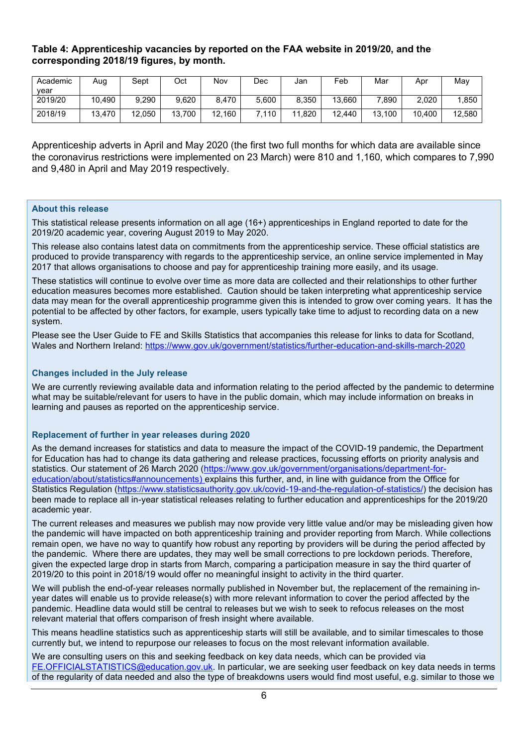### **Table 4: Apprenticeship vacancies by reported on the FAA website in 2019/20, and the corresponding 2018/19 figures, by month.**

| Academic | Aug    | Sept   | Oct    | Nov    | Dec   | Jan        | Feb    | Mar    | Apr    | May    |
|----------|--------|--------|--------|--------|-------|------------|--------|--------|--------|--------|
| vear     |        |        |        |        |       |            |        |        |        |        |
| 2019/20  | 10,490 | 9,290  | 9,620  | 8.470  | 5,600 | 8,350      | 13,660 | .890   | 2,020  | .850   |
| 2018/19  | 13,470 | 12,050 | 13,700 | 12,160 | .110  | .820<br>44 | 12,440 | 13,100 | 10,400 | 12,580 |

Apprenticeship adverts in April and May 2020 (the first two full months for which data are available since the coronavirus restrictions were implemented on 23 March) were 810 and 1,160, which compares to 7,990 and 9,480 in April and May 2019 respectively.

#### **About this release**

This statistical release presents information on all age (16+) apprenticeships in England reported to date for the 2019/20 academic year, covering August 2019 to May 2020.

This release also contains latest data on commitments from the apprenticeship service. These official statistics are produced to provide transparency with regards to the apprenticeship service, an online service implemented in May 2017 that allows organisations to choose and pay for apprenticeship training more easily, and its usage.

These statistics will continue to evolve over time as more data are collected and their relationships to other further education measures becomes more established. Caution should be taken interpreting what apprenticeship service data may mean for the overall apprenticeship programme given this is intended to grow over coming years. It has the potential to be affected by other factors, for example, users typically take time to adjust to recording data on a new system.

Please see the User Guide to FE and Skills Statistics that accompanies this release for links to data for Scotland, Wales and Northern Ireland:<https://www.gov.uk/government/statistics/further-education-and-skills-march-2020>

#### **Changes included in the July release**

We are currently reviewing available data and information relating to the period affected by the pandemic to determine what may be suitable/relevant for users to have in the public domain, which may include information on breaks in learning and pauses as reported on the apprenticeship service.

#### **Replacement of further in year releases during 2020**

As the demand increases for statistics and data to measure the impact of the COVID-19 pandemic, the Department for Education has had to change its data gathering and release practices, focussing efforts on priority analysis and statistics. Our statement of 26 March 2020 [\(https://www.gov.uk/government/organisations/department-for](https://www.gov.uk/government/organisations/department-for-education/about/statistics#announcements)[education/about/statistics#announcements\)](https://www.gov.uk/government/organisations/department-for-education/about/statistics#announcements) explains this further, and, in line with guidance from the Office for Statistics Regulation [\(https://www.statisticsauthority.gov.uk/covid-19-and-the-regulation-of-statistics/\)](https://www.statisticsauthority.gov.uk/covid-19-and-the-regulation-of-statistics/) the decision has been made to replace all in-year statistical releases relating to further education and apprenticeships for the 2019/20 academic year.

The current releases and measures we publish may now provide very little value and/or may be misleading given how the pandemic will have impacted on both apprenticeship training and provider reporting from March. While collections remain open, we have no way to quantify how robust any reporting by providers will be during the period affected by the pandemic. Where there are updates, they may well be small corrections to pre lockdown periods. Therefore, given the expected large drop in starts from March, comparing a participation measure in say the third quarter of 2019/20 to this point in 2018/19 would offer no meaningful insight to activity in the third quarter.

We will publish the end-of-year releases normally published in November but, the replacement of the remaining inyear dates will enable us to provide release(s) with more relevant information to cover the period affected by the pandemic. Headline data would still be central to releases but we wish to seek to refocus releases on the most relevant material that offers comparison of fresh insight where available.

This means headline statistics such as apprenticeship starts will still be available, and to similar timescales to those currently but, we intend to repurpose our releases to focus on the most relevant information available.

We are consulting users on this and seeking feedback on key data needs, which can be provided via [FE.OFFICIALSTATISTICS@education.gov.uk.](mailto:FE.OFFICIALSTATISTICS@education.gov.uk) In particular, we are seeking user feedback on key data needs in terms of the regularity of data needed and also the type of breakdowns users would find most useful, e.g. similar to those we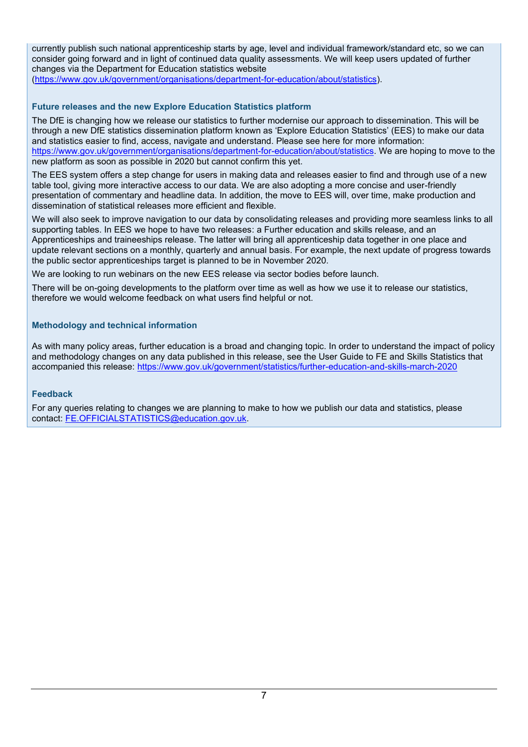currently publish such national apprenticeship starts by age, level and individual framework/standard etc, so we can consider going forward and in light of continued data quality assessments. We will keep users updated of further changes via the Department for Education statistics website [\(https://www.gov.uk/government/organisations/department-for-education/about/statistics\)](https://www.gov.uk/government/organisations/department-for-education/about/statistics).

### **Future releases and the new Explore Education Statistics platform**

The DfE is changing how we release our statistics to further modernise our approach to dissemination. This will be through a new DfE statistics dissemination platform known as 'Explore Education Statistics' (EES) to make our data and statistics easier to find, access, navigate and understand. Please see here for more information: [https://www.gov.uk/government/organisations/department-for-education/about/statistics.](https://www.gov.uk/government/organisations/department-for-education/about/statistics) We are hoping to move to the new platform as soon as possible in 2020 but cannot confirm this yet.

The EES system offers a step change for users in making data and releases easier to find and through use of a new table tool, giving more interactive access to our data. We are also adopting a more concise and user-friendly presentation of commentary and headline data. In addition, the move to EES will, over time, make production and dissemination of statistical releases more efficient and flexible.

We will also seek to improve navigation to our data by consolidating releases and providing more seamless links to all supporting tables. In EES we hope to have two releases: a Further education and skills release, and an Apprenticeships and traineeships release. The latter will bring all apprenticeship data together in one place and update relevant sections on a monthly, quarterly and annual basis. For example, the next update of progress towards the public sector apprenticeships target is planned to be in November 2020.

We are looking to run webinars on the new EES release via sector bodies before launch.

There will be on-going developments to the platform over time as well as how we use it to release our statistics, therefore we would welcome feedback on what users find helpful or not.

### **Methodology and technical information**

As with many policy areas, further education is a broad and changing topic. In order to understand the impact of policy and methodology changes on any data published in this release, see the User Guide to FE and Skills Statistics that accompanied this release:<https://www.gov.uk/government/statistics/further-education-and-skills-march-2020>

### **Feedback**

For any queries relating to changes we are planning to make to how we publish our data and statistics, please contact: [FE.OFFICIALSTATISTICS@education.gov.uk.](mailto:FE.OFFICIALSTATISTICS@education.gov.uk)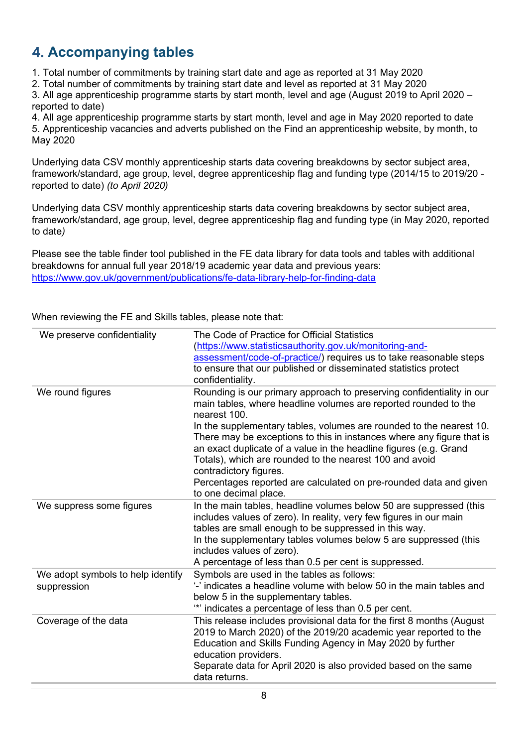# **Accompanying tables**

- 1. Total number of commitments by training start date and age as reported at 31 May 2020
- 2. Total number of commitments by training start date and level as reported at 31 May 2020

3. All age apprenticeship programme starts by start month, level and age (August 2019 to April 2020 – reported to date)

4. All age apprenticeship programme starts by start month, level and age in May 2020 reported to date 5. Apprenticeship vacancies and adverts published on the Find an apprenticeship website, by month, to May 2020

Underlying data CSV monthly apprenticeship starts data covering breakdowns by sector subject area, framework/standard, age group, level, degree apprenticeship flag and funding type (2014/15 to 2019/20 reported to date) *(to April 2020)*

Underlying data CSV monthly apprenticeship starts data covering breakdowns by sector subject area, framework/standard, age group, level, degree apprenticeship flag and funding type (in May 2020, reported to date*)*

Please see the table finder tool published in the FE data library for data tools and tables with additional breakdowns for annual full year 2018/19 academic year data and previous years: <https://www.gov.uk/government/publications/fe-data-library-help-for-finding-data>

When reviewing the FE and Skills tables, please note that:

| We preserve confidentiality                      | The Code of Practice for Official Statistics                                                                                                                                                                                                                                                                                                                                |
|--------------------------------------------------|-----------------------------------------------------------------------------------------------------------------------------------------------------------------------------------------------------------------------------------------------------------------------------------------------------------------------------------------------------------------------------|
|                                                  | (https://www.statisticsauthority.gov.uk/monitoring-and-                                                                                                                                                                                                                                                                                                                     |
|                                                  | assessment/code-of-practice/) requires us to take reasonable steps                                                                                                                                                                                                                                                                                                          |
|                                                  | to ensure that our published or disseminated statistics protect                                                                                                                                                                                                                                                                                                             |
|                                                  | confidentiality.                                                                                                                                                                                                                                                                                                                                                            |
| We round figures                                 | Rounding is our primary approach to preserving confidentiality in our<br>main tables, where headline volumes are reported rounded to the<br>nearest 100.                                                                                                                                                                                                                    |
|                                                  | In the supplementary tables, volumes are rounded to the nearest 10.<br>There may be exceptions to this in instances where any figure that is<br>an exact duplicate of a value in the headline figures (e.g. Grand<br>Totals), which are rounded to the nearest 100 and avoid<br>contradictory figures.<br>Percentages reported are calculated on pre-rounded data and given |
|                                                  | to one decimal place.                                                                                                                                                                                                                                                                                                                                                       |
| We suppress some figures                         | In the main tables, headline volumes below 50 are suppressed (this<br>includes values of zero). In reality, very few figures in our main<br>tables are small enough to be suppressed in this way.<br>In the supplementary tables volumes below 5 are suppressed (this<br>includes values of zero).<br>A percentage of less than 0.5 per cent is suppressed.                 |
| We adopt symbols to help identify<br>suppression | Symbols are used in the tables as follows:<br>'-' indicates a headline volume with below 50 in the main tables and<br>below 5 in the supplementary tables.<br>"" indicates a percentage of less than 0.5 per cent.                                                                                                                                                          |
| Coverage of the data                             | This release includes provisional data for the first 8 months (August<br>2019 to March 2020) of the 2019/20 academic year reported to the<br>Education and Skills Funding Agency in May 2020 by further<br>education providers.<br>Separate data for April 2020 is also provided based on the same<br>data returns.                                                         |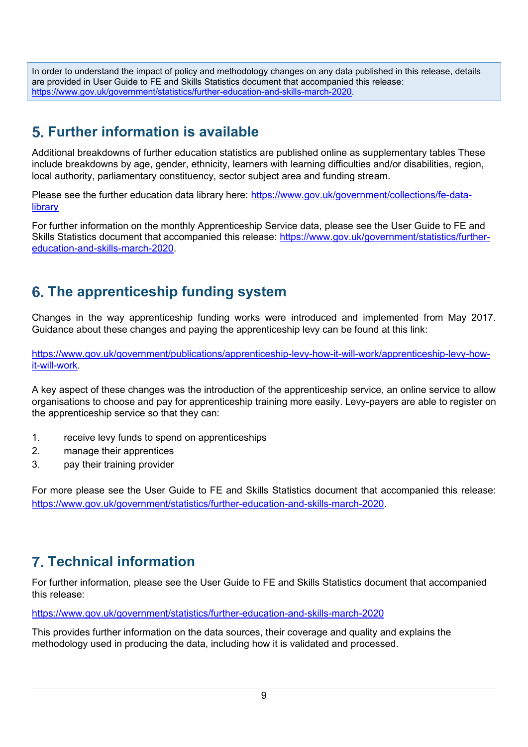In order to understand the impact of policy and methodology changes on any data published in this release, details are provided in User Guide to FE and Skills Statistics document that accompanied this release: [https://www.gov.uk/government/statistics/further-education-and-skills-march-2020.](https://www.gov.uk/government/statistics/further-education-and-skills-march-2020)

# **Further information is available**

Additional breakdowns of further education statistics are published online as supplementary tables These include breakdowns by age, gender, ethnicity, learners with learning difficulties and/or disabilities, region, local authority, parliamentary constituency, sector subject area and funding stream.

Please see the further education data library here: [https://www.gov.uk/government/collections/fe-data](https://www.gov.uk/government/collections/fe-data-library)[library](https://www.gov.uk/government/collections/fe-data-library)

For further information on the monthly Apprenticeship Service data, please see the User Guide to FE and Skills Statistics document that accompanied this release: [https://www.gov.uk/government/statistics/further](https://www.gov.uk/government/statistics/further-education-and-skills-march-2020)[education-and-skills-march-2020.](https://www.gov.uk/government/statistics/further-education-and-skills-march-2020)

# **The apprenticeship funding system**

Changes in the way apprenticeship funding works were introduced and implemented from May 2017. Guidance about these changes and paying the apprenticeship levy can be found at this link:

[https://www.gov.uk/government/publications/apprenticeship-levy-how-it-will-work/apprenticeship-levy-how](https://www.gov.uk/government/publications/apprenticeship-levy-how-it-will-work/apprenticeship-levy-how-it-will-work)[it-will-work.](https://www.gov.uk/government/publications/apprenticeship-levy-how-it-will-work/apprenticeship-levy-how-it-will-work)

A key aspect of these changes was the introduction of the apprenticeship service, an online service to allow organisations to choose and pay for apprenticeship training more easily. Levy-payers are able to register on the apprenticeship service so that they can:

- 1. receive levy funds to spend on apprenticeships
- 2. manage their apprentices
- 3. pay their training provider

For more please see the User Guide to FE and Skills Statistics document that accompanied this release: [https://www.gov.uk/government/statistics/further-education-and-skills-march-2020.](https://www.gov.uk/government/statistics/further-education-and-skills-march-2020)

# **Technical information**

For further information, please see the User Guide to FE and Skills Statistics document that accompanied this release:

[https://www.gov.uk/government/statistics/further-education-and-skills-march-2020](https://www.gov.uk/government/statistics/further-education-and-skills-march-202019)

This provides further information on the data sources, their coverage and quality and explains the methodology used in producing the data, including how it is validated and processed.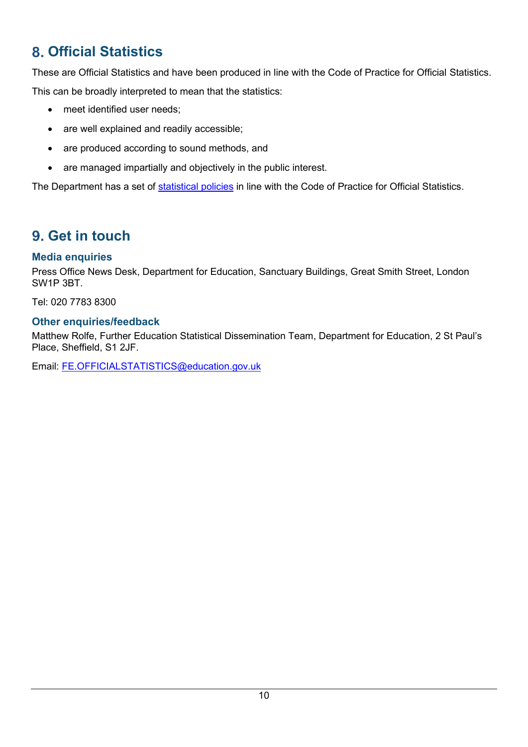# **Official Statistics**

These are Official Statistics and have been produced in line with the Code of Practice for Official Statistics. This can be broadly interpreted to mean that the statistics:

- meet identified user needs;
- are well explained and readily accessible;
- are produced according to sound methods, and
- are managed impartially and objectively in the public interest.

The Department has a set of [statistical policies](http://www.gov.uk/government/publications/standards-for-official-statistics-published-by-the-department-for-education) in line with the Code of Practice for Official Statistics.

# **Get in touch**

## **Media enquiries**

Press Office News Desk, Department for Education, Sanctuary Buildings, Great Smith Street, London SW1P 3BT.

Tel: 020 7783 8300

## **Other enquiries/feedback**

Matthew Rolfe, Further Education Statistical Dissemination Team, Department for Education, 2 St Paul's Place, Sheffield, S1 2JF.

Email: [FE.OFFICIALSTATISTICS@education.gov.uk](mailto:FE.OFFICIALSTATISTICS@education.gov.uk)